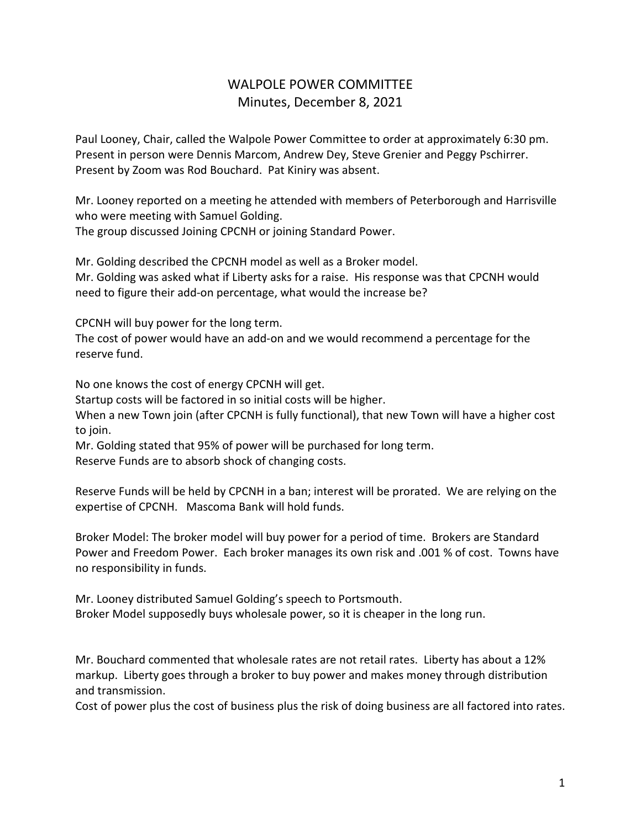## WALPOLE POWER COMMITTEE Minutes, December 8, 2021

Paul Looney, Chair, called the Walpole Power Committee to order at approximately 6:30 pm. Present in person were Dennis Marcom, Andrew Dey, Steve Grenier and Peggy Pschirrer. Present by Zoom was Rod Bouchard. Pat Kiniry was absent.

Mr. Looney reported on a meeting he attended with members of Peterborough and Harrisville who were meeting with Samuel Golding.

The group discussed Joining CPCNH or joining Standard Power.

Mr. Golding described the CPCNH model as well as a Broker model. Mr. Golding was asked what if Liberty asks for a raise. His response was that CPCNH would need to figure their add-on percentage, what would the increase be?

CPCNH will buy power for the long term.

The cost of power would have an add-on and we would recommend a percentage for the reserve fund.

No one knows the cost of energy CPCNH will get.

Startup costs will be factored in so initial costs will be higher.

When a new Town join (after CPCNH is fully functional), that new Town will have a higher cost to join.

Mr. Golding stated that 95% of power will be purchased for long term. Reserve Funds are to absorb shock of changing costs.

Reserve Funds will be held by CPCNH in a ban; interest will be prorated. We are relying on the expertise of CPCNH. Mascoma Bank will hold funds.

Broker Model: The broker model will buy power for a period of time. Brokers are Standard Power and Freedom Power. Each broker manages its own risk and .001 % of cost. Towns have no responsibility in funds.

Mr. Looney distributed Samuel Golding's speech to Portsmouth. Broker Model supposedly buys wholesale power, so it is cheaper in the long run.

Mr. Bouchard commented that wholesale rates are not retail rates. Liberty has about a 12% markup. Liberty goes through a broker to buy power and makes money through distribution and transmission.

Cost of power plus the cost of business plus the risk of doing business are all factored into rates.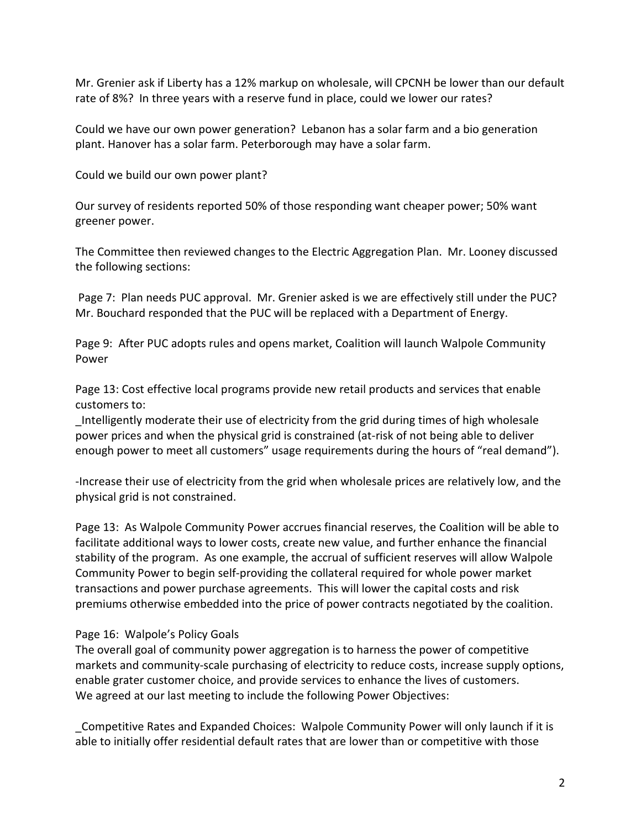Mr. Grenier ask if Liberty has a 12% markup on wholesale, will CPCNH be lower than our default rate of 8%? In three years with a reserve fund in place, could we lower our rates?

Could we have our own power generation? Lebanon has a solar farm and a bio generation plant. Hanover has a solar farm. Peterborough may have a solar farm.

Could we build our own power plant?

Our survey of residents reported 50% of those responding want cheaper power; 50% want greener power.

The Committee then reviewed changes to the Electric Aggregation Plan. Mr. Looney discussed the following sections:

Page 7: Plan needs PUC approval. Mr. Grenier asked is we are effectively still under the PUC? Mr. Bouchard responded that the PUC will be replaced with a Department of Energy.

Page 9: After PUC adopts rules and opens market, Coalition will launch Walpole Community Power

Page 13: Cost effective local programs provide new retail products and services that enable customers to:

\_Intelligently moderate their use of electricity from the grid during times of high wholesale power prices and when the physical grid is constrained (at-risk of not being able to deliver enough power to meet all customers" usage requirements during the hours of "real demand").

-Increase their use of electricity from the grid when wholesale prices are relatively low, and the physical grid is not constrained.

Page 13: As Walpole Community Power accrues financial reserves, the Coalition will be able to facilitate additional ways to lower costs, create new value, and further enhance the financial stability of the program. As one example, the accrual of sufficient reserves will allow Walpole Community Power to begin self-providing the collateral required for whole power market transactions and power purchase agreements. This will lower the capital costs and risk premiums otherwise embedded into the price of power contracts negotiated by the coalition.

## Page 16: Walpole's Policy Goals

The overall goal of community power aggregation is to harness the power of competitive markets and community-scale purchasing of electricity to reduce costs, increase supply options, enable grater customer choice, and provide services to enhance the lives of customers. We agreed at our last meeting to include the following Power Objectives:

\_Competitive Rates and Expanded Choices: Walpole Community Power will only launch if it is able to initially offer residential default rates that are lower than or competitive with those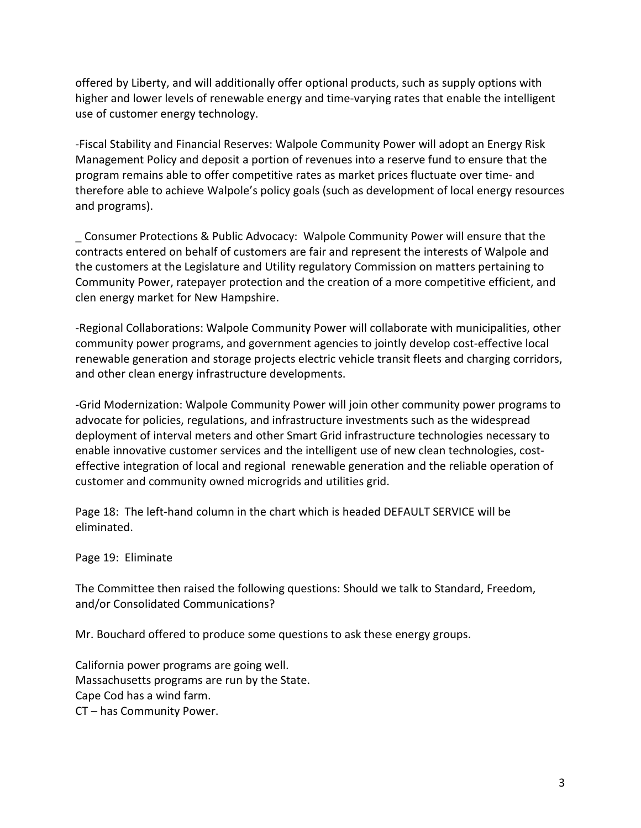offered by Liberty, and will additionally offer optional products, such as supply options with higher and lower levels of renewable energy and time-varying rates that enable the intelligent use of customer energy technology.

-Fiscal Stability and Financial Reserves: Walpole Community Power will adopt an Energy Risk Management Policy and deposit a portion of revenues into a reserve fund to ensure that the program remains able to offer competitive rates as market prices fluctuate over time- and therefore able to achieve Walpole's policy goals (such as development of local energy resources and programs).

\_ Consumer Protections & Public Advocacy: Walpole Community Power will ensure that the contracts entered on behalf of customers are fair and represent the interests of Walpole and the customers at the Legislature and Utility regulatory Commission on matters pertaining to Community Power, ratepayer protection and the creation of a more competitive efficient, and clen energy market for New Hampshire.

-Regional Collaborations: Walpole Community Power will collaborate with municipalities, other community power programs, and government agencies to jointly develop cost-effective local renewable generation and storage projects electric vehicle transit fleets and charging corridors, and other clean energy infrastructure developments.

-Grid Modernization: Walpole Community Power will join other community power programs to advocate for policies, regulations, and infrastructure investments such as the widespread deployment of interval meters and other Smart Grid infrastructure technologies necessary to enable innovative customer services and the intelligent use of new clean technologies, costeffective integration of local and regional renewable generation and the reliable operation of customer and community owned microgrids and utilities grid.

Page 18: The left-hand column in the chart which is headed DEFAULT SERVICE will be eliminated.

Page 19: Eliminate

The Committee then raised the following questions: Should we talk to Standard, Freedom, and/or Consolidated Communications?

Mr. Bouchard offered to produce some questions to ask these energy groups.

California power programs are going well. Massachusetts programs are run by the State. Cape Cod has a wind farm. CT – has Community Power.